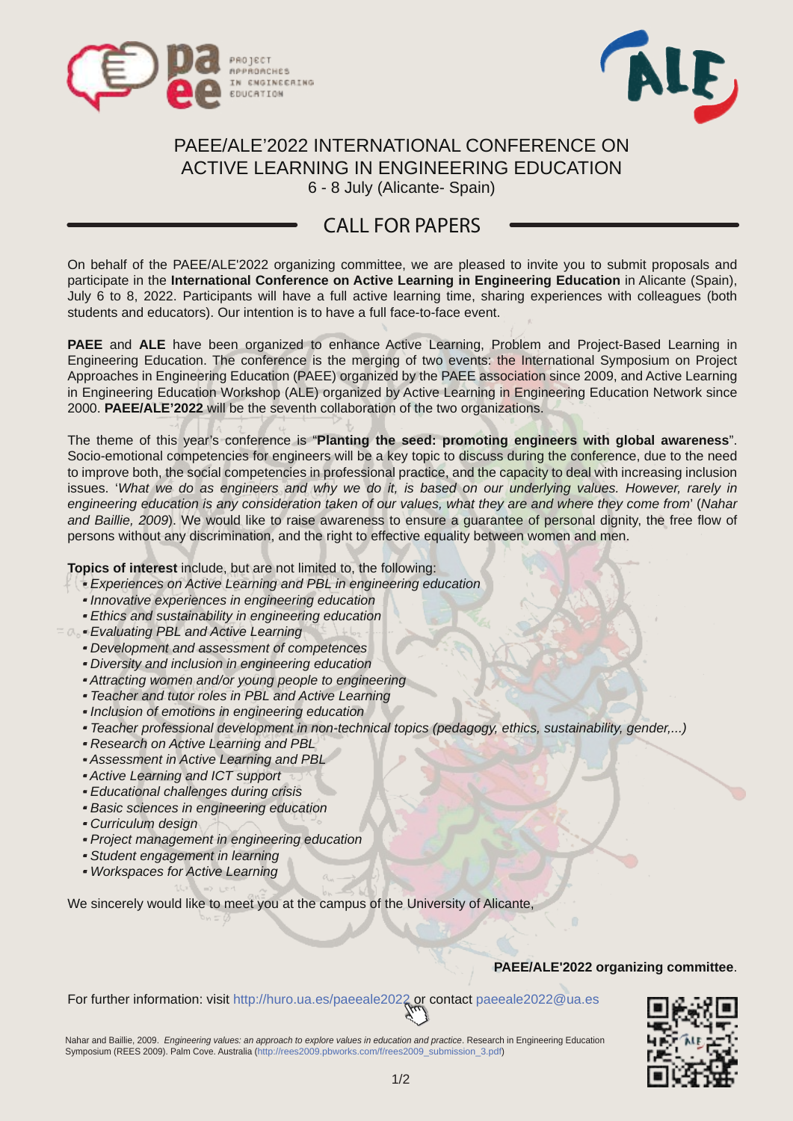



# PAEE/ALE'2022 INTERNATIONAL CONFERENCE ON ACTIVE LEARNING IN ENGINEERING EDUCATION

6 - 8 July (Alicante- Spain)

## CALL FOR PAPERS

On behalf of the PAEE/ALE'2022 organizing committee, we are pleased to invite you to submit proposals and participate in the **International Conference on Active Learning in Engineering Education** in Alicante (Spain), July 6 to 8, 2022. Participants will have a full active learning time, sharing experiences with colleagues (both students and educators). Our intention is to have a full face-to-face event.

**PAEE** and **ALE** have been organized to enhance Active Learning, Problem and Project-Based Learning in Engineering Education. The conference is the merging of two events: the International Symposium on Project Approaches in Engineering Education (PAEE) organized by the PAEE association since 2009, and Active Learning in Engineering Education Workshop (ALE) organized by Active Learning in Engineering Education Network since 2000. **PAEE/ALE'2022** will be the seventh collaboration of the two organizations.

The theme of this year's conference is "**Planting the seed: promoting engineers with global awareness**". Socio-emotional competencies for engineers will be a key topic to discuss during the conference, due to the need to improve both, the social competencies in professional practice, and the capacity to deal with increasing inclusion issues. 'What we do as engineers and why we do it, is based on our underlying values. However, rarely in engineering education is any consideration taken of our values, what they are and where they come from' (Nahar and Baillie, 2009). We would like to raise awareness to ensure a guarantee of personal dignity, the free flow of persons without any discrimination, and the right to effective equality between women and men.

**Topics of interest** include, but are not limited to, the following:

- **·** Experiences on Active Learning and PBL in engineering education
- **·** Innovative experiences in engineering education
- **·** Ethics and sustainability in engineering education
- **·** Evaluating PBL and Active Learning
- **·** Development and assessment of competences
- **·** Diversity and inclusion in engineering education
- **·** Attracting women and/or young people to engineering
- **·** Teacher and tutor roles in PBL and Active Learning
- **·** Inclusion of emotions in engineering education
- **·** Teacher professional development in non-technical topics (pedagogy, ethics, sustainability, gender,...)
- **·** Research on Active Learning and PBL
- **·** Assessment in Active Learning and PBL
- **·** Active Learning and ICT support
- **·** Educational challenges during crisis
- **·** Basic sciences in engineering education
- **·** Curriculum design
- **·** Project management in engineering education
- **·** Student engagement in learning
- **·** Workspaces for Active Learning

We sincerely would like to meet you at the campus of the University of Alicante,

### **PAEE/ALE'2022 organizing committee**.

For further information: visit http://huro.ua.es/paeeale2022 or contact paeeale2022@ua.es